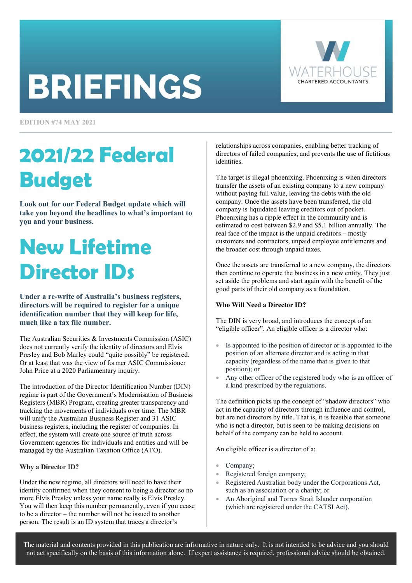# **BRIEFINGS**



**EDITION #74 MAY 2021** 

## **2021/22 Federal Budget**

**Look out for our Federal Budget update which will take you beyond the headlines to what's important to you and your business.** 

### **New Lifetime Director IDs**

**Under a re-write of Australia's business registers, directors will be required to register for a unique identification number that they will keep for life, much like a tax file number.** 

The Australian Securities & Investments Commission (ASIC) does not currently verify the identity of directors and Elvis Presley and Bob Marley could "quite possibly" be registered. Or at least that was the view of former ASIC Commissioner John Price at a 2020 Parliamentary inquiry.

The introduction of the Director Identification Number (DIN) regime is part of the Government's Modernisation of Business Registers (MBR) Program, creating greater transparency and tracking the movements of individuals over time. The MBR will unify the Australian Business Register and 31 ASIC business registers, including the register of companies. In effect, the system will create one source of truth across Government agencies for individuals and entities and will be managed by the Australian Taxation Office (ATO).

### Why a Director ID?

Under the new regime, all directors will need to have their identity confirmed when they consent to being a director so no more Elvis Presley unless your name really is Elvis Presley. You will then keep this number permanently, even if you cease to be a director – the number will not be issued to another person. The result is an ID system that traces a director's

relationships across companies, enabling better tracking of directors of failed companies, and prevents the use of fictitious identities.

The target is illegal phoenixing. Phoenixing is when directors transfer the assets of an existing company to a new company without paying full value, leaving the debts with the old company. Once the assets have been transferred, the old company is liquidated leaving creditors out of pocket. Phoenixing has a ripple effect in the community and is estimated to cost between \$2.9 and \$5.1 billion annually. The real face of the impact is the unpaid creditors – mostly customers and contractors, unpaid employee entitlements and the broader cost through unpaid taxes.

Once the assets are transferred to a new company, the directors then continue to operate the business in a new entity. They just set aside the problems and start again with the benefit of the good parts of their old company as a foundation.

### **Who Will Need a Director ID?**

The DIN is very broad, and introduces the concept of an "eligible officer". An eligible officer is a director who:

- Is appointed to the position of director or is appointed to the position of an alternate director and is acting in that capacity (regardless of the name that is given to that position); or
- Any other officer of the registered body who is an officer of a kind prescribed by the regulations.

The definition picks up the concept of "shadow directors" who act in the capacity of directors through influence and control, but are not directors by title. That is, it is feasible that someone who is not a director, but is seen to be making decisions on behalf of the company can be held to account.

An eligible officer is a director of a:

- Company;
- Registered foreign company;
- Registered Australian body under the Corporations Act, such as an association or a charity; or
- An Aboriginal and Torres Strait Islander corporation (which are registered under the CATSI Act).

The material and contents provided in this publication are informative in nature only. It is not intended to be advice and you should not act specifically on the basis of this information alone. If expert assistance is required, professional advice should be obtained.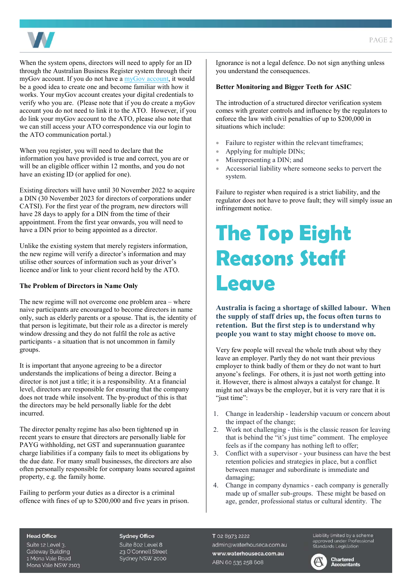

When the system opens, directors will need to apply for an ID through the Australian Business Register system through their myGov account. If you do not have [a myGov account,](https://www.mygovid.gov.au/) it would be a good idea to create one and become familiar with how it works. Your myGov account creates your digital credentials to verify who you are. (Please note that if you do create a myGov account you do not need to link it to the ATO. However, if you do link your myGov account to the ATO, please also note that we can still access your ATO correspondence via our login to the ATO communication portal.)

When you register, you will need to declare that the information you have provided is true and correct, you are or will be an eligible officer within 12 months, and you do not have an existing ID (or applied for one).

Existing directors will have until 30 November 2022 to acquire a DIN (30 November 2023 for directors of corporations under CATSI). For the first year of the program, new directors will have 28 days to apply for a DIN from the time of their appointment. From the first year onwards, you will need to have a DIN prior to being appointed as a director.

Unlike the existing system that merely registers information, the new regime will verify a director's information and may utilise other sources of information such as your driver's licence and/or link to your client record held by the ATO.

### **The Problem of Directors in Name Only**

The new regime will not overcome one problem area – where naive participants are encouraged to become directors in name only, such as elderly parents or a spouse. That is, the identity of that person is legitimate, but their role as a director is merely window dressing and they do not fulfil the role as active participants - a situation that is not uncommon in family groups.

It is important that anyone agreeing to be a director understands the implications of being a director. Being a director is not just a title; it is a responsibility. At a financial level, directors are responsible for ensuring that the company does not trade while insolvent. The by-product of this is that the directors may be held personally liable for the debt incurred.

The director penalty regime has also been tightened up in recent years to ensure that directors are personally liable for PAYG withholding, net GST and superannuation guarantee charge liabilities if a company fails to meet its obligations by the due date. For many small businesses, the directors are also often personally responsible for company loans secured against property, e.g. the family home.

Failing to perform your duties as a director is a criminal offence with fines of up to \$200,000 and five years in prison. Ignorance is not a legal defence. Do not sign anything unless you understand the consequences.

### **Better Monitoring and Bigger Teeth for ASIC**

The introduction of a structured director verification system comes with greater controls and influence by the regulators to enforce the law with civil penalties of up to \$200,000 in situations which include:

- Failure to register within the relevant timeframes;
- Applying for multiple DINs;
- Misrepresenting a DIN; and
- Accessorial liability where someone seeks to pervert the system.

Failure to register when required is a strict liability, and the regulator does not have to prove fault; they will simply issue an infringement notice.

### **The Top Eight Reasons Staff Leave**

**Australia is facing a shortage of skilled labour. When the supply of staff dries up, the focus often turns to retention. But the first step is to understand why people you want to stay might choose to move on.** 

Very few people will reveal the whole truth about why they leave an employer. Partly they do not want their previous employer to think badly of them or they do not want to hurt anyone's feelings. For others, it is just not worth getting into it. However, there is almost always a catalyst for change. It might not always be the employer, but it is very rare that it is "just time":

- 1. Change in leadership leadership vacuum or concern about the impact of the change;
- 2. Work not challenging this is the classic reason for leaving that is behind the "it's just time" comment. The employee feels as if the company has nothing left to offer;
- 3. Conflict with a supervisor your business can have the best retention policies and strategies in place, but a conflict between manager and subordinate is immediate and damaging;
- 4. Change in company dynamics each company is generally made up of smaller sub-groups. These might be based on age, gender, professional status or cultural identity. The

#### **Head Office**

Suite 12 Level 3. **Gateway Building** 1 Mona Vale Road Mona Vale NSW 2103

#### **Sydney Office**

Suite 802 Level 8 23 O'Connell Street Sydney NSW 2000 T 02 8973 2222 admin@waterhouseca.com.au www.waterhouseca.com.au ABN 60 535 258 608

Liability limited by a scheme approved under Professional<br>Standards Legislation



**Chartered Accountants**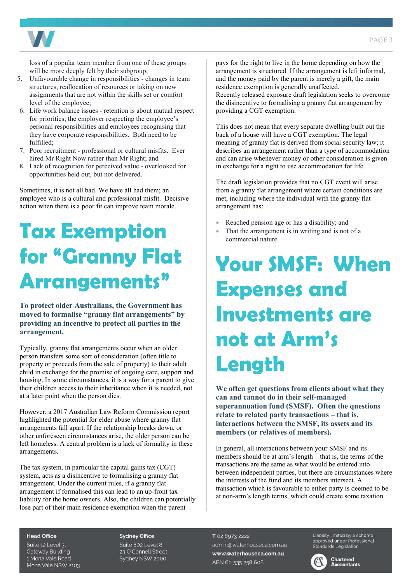

loss of a popular team member from one of these groups will be more deeply felt by their subgroup;

- 5. Unfavourable change in responsibilities changes in team structures, reallocation of resources or taking on new assignments that are not within the skills set or comfort level of the employee;
- 6. Life work balance issues retention is about mutual respect for priorities; the employer respecting the employee's personal responsibilities and employees recognising that they have corporate responsibilities. Both need to be fulfilled;
- 7. Poor recruitment professional or cultural misfits. Ever hired Mr Right Now rather than Mr Right; and
- 8. Lack of recognition for perceived value overlooked for opportunities held out, but not delivered.

Sometimes, it is not all bad. We have all had them; an employee who is a cultural and professional misfit. Decisive action when there is a poor fit can improve team morale.

### **Tax Exemption for "Granny Flat Arrangements"**

**To protect older Australians, the Government has moved to formalise "granny flat arrangements" by providing an incentive to protect all parties in the arrangement.** 

Typically, granny flat arrangements occur when an older person transfers some sort of consideration (often title to property or proceeds from the sale of property) to their adult child in exchange for the promise of ongoing care, support and housing. In some circumstances, it is a way for a parent to give their children access to their inheritance when it is needed, not at a later point when the person dies.

However, a 2017 Australian Law Reform Commission report highlighted the potential for elder abuse where granny flat arrangements fall apart. If the relationship breaks down, or other unforeseen circumstances arise, the older person can be left homeless. A central problem is a lack of formality in these arrangements.

The tax system, in particular the capital gains tax (CGT) system, acts as a disincentive to formalising a granny flat arrangement. Under the current rules, if a granny flat arrangement if formalised this can lead to an up-front tax liability for the home owners. Also, the children can potentially lose part of their main residence exemption when the parent

pays for the right to live in the home depending on how the arrangement is structured. If the arrangement is left informal, and the money paid by the parent is merely a gift, the main residence exemption is generally unaffected.

Recently released exposure draft legislation seeks to overcome the disincentive to formalising a granny flat arrangement by providing a CGT exemption.

This does not mean that every separate dwelling built out the back of a house will have a CGT exemption. The legal meaning of granny flat is derived from social security law; it describes an arrangement rather than a type of accommodation and can arise whenever money or other consideration is given in exchange for a right to use accommodation for life.

The draft legislation provides that no CGT event will arise from a granny flat arrangement where certain conditions are met, including where the individual with the granny flat arrangement has:

- Reached pension age or has a disability; and
- That the arrangement is in writing and is not of a commercial nature.

### **Your SMSF: When Expenses and Investments are not at Arm's Length**

**We often get questions from clients about what they can and cannot do in their self-managed superannuation fund (SMSF). Often the questions relate to related party transactions – that is, interactions between the SMSF, its assets and its members (or relatives of members).** 

In general, all interactions between your SMSF and its members should be at arm's length – that is, the terms of the transactions are the same as what would be entered into between independent parties, but there are circumstances where the interests of the fund and its members intersect. A transaction which is favourable to either party is deemed to be at non-arm's length terms, which could create some taxation

#### **Head Office**

Suite 12 Level 3. **Gateway Building** 1 Mona Vale Road Mona Vale NSW 2103

### **Sydney Office**

Suite 802 Level 8 23 O'Connell Street Sydney NSW 2000

T 02 8973 2222 admin@waterhouseca.com.au www.waterhouseca.com.au ABN 60 535 258 608

Liability limited by a scheme Explorery writted by a scribing<br>approved under Professional<br>Standards Legislation